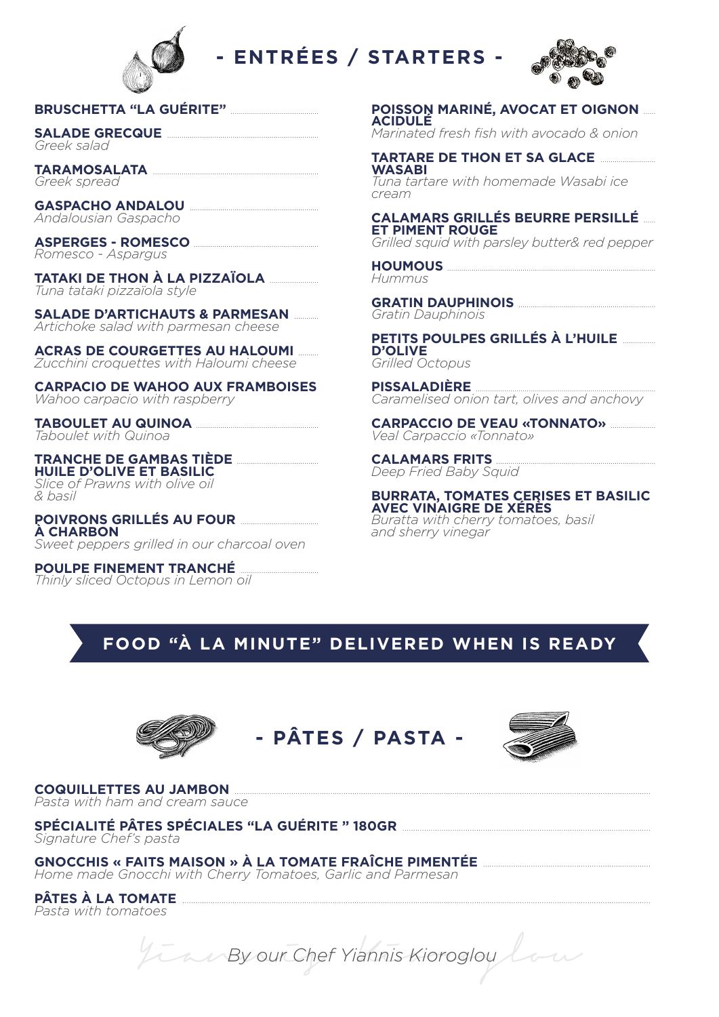

### **ENTRÉES / STARTERS -**



#### BRUSCHETTA "LA GUÉRITE" MARIE

**SALADE GRECQUE** Greek salad

**TARAMOSALATA** Greek spread

**GASPACHO ANDALOU ............** Andalousian Gaspacho

**ASPERGES - ROMESCO ...........** Romesco - Aspargus

**TATAKI DE THON À LA PIZZAÏOLA ANDETECT DE THON À LA PIZZAÏOLA** Tuna tataki pizzaïola style

**SALADE D'ARTICHAUTS & PARMESAN ......** Artichoke salad with parmesan cheese

**ACRAS DE COURGETTES AU HALOUMI** Zucchini croquettes with Haloumi cheese

**CARPACIO DE WAHOO AUX FRAMBOISES** Wahoo carpacio with raspberry

**TABOULET AU QUINOA .......** Taboulet with Quinoa

**TRANCHE DE GAMBAS TIÈDE .... HUILE D'OLIVE ET BASILIC** Slice of Prawns with olive oil & basil

**POIVRONS GRILLÉS AU FOUR A CHARBON** Sweet peppers grilled in our charcoal oven

**POULPE FINEMENT TRANCHÉ** Thinly sliced Octopus in Lemon oil **POISSON MARINÉ, AVOCAT ET OIGNON ...... ACIDULE** 

Marinated fresh fish with avocado & onion

**TARTARE DE THON ET SA GLACE... WASABI** Tuna tartare with homemade Wasabi ice cream

**CALAMARS GRILLÉS BEURRE PERSILLÉ ET PIMENT ROUGE** 

Grilled squid with parsley butter& red pepper

**HOUMOUS** Hummus

**GRATIN DAUPHINOIS** Gratin Dauphinois

PETITS POULPES GRILLÉS À L'HUILE **D'OLIVE** Grilled Octopus

**PISSALADIÈRE** Caramelised onion tart, olives and anchovy

**CARPACCIO DE VEAU «TONNATO»** *manume***rs** *Veal Carpaccio* «Tonnato»

**CALAMARS FRITS** Deep Fried Baby Squid

**BURRATA, TOMATES CERISES ET BASILIC<br>AVEC VINAIGRE DE XÉRÈS** Buratta with cherry tomatoes, basil and sherry vinegar

#### FOOD "À LA MINUTE" DELIVERED WHEN IS READY







**COQUILLETTES AU JAMBON** Pasta with ham and cream sauce

SPÉCIALITÉ PÂTES SPÉCIALES "LA GUÉRITE " 180GR .............. Signature Chef's pasta

GNOCCHIS « FAITS MAISON » À LA TOMATE FRAÎCHE PIMENTÉE **CONSTANTS (NETTE** Home made Gnocchi with Cherry Tomatoes, Garlic and Parmesan

**PÂTES À LA TOMATE** 

Pasta with tomatoes

We By our Chef Yiannis Kioroglou